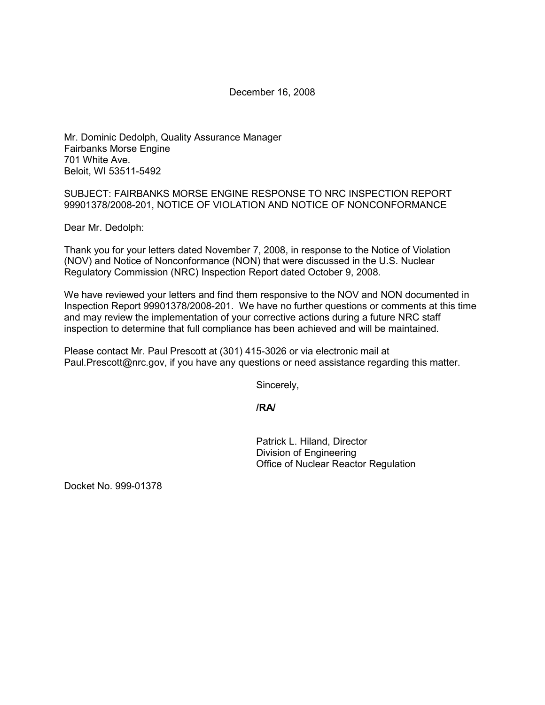December 16, 2008

Mr. Dominic Dedolph, Quality Assurance Manager Fairbanks Morse Engine 701 White Ave. Beloit, WI 53511-5492

SUBJECT: FAIRBANKS MORSE ENGINE RESPONSE TO NRC INSPECTION REPORT 99901378/2008-201, NOTICE OF VIOLATION AND NOTICE OF NONCONFORMANCE

Dear Mr. Dedolph:

Thank you for your letters dated November 7, 2008, in response to the Notice of Violation (NOV) and Notice of Nonconformance (NON) that were discussed in the U.S. Nuclear Regulatory Commission (NRC) Inspection Report dated October 9, 2008.

We have reviewed your letters and find them responsive to the NOV and NON documented in Inspection Report 99901378/2008-201. We have no further questions or comments at this time and may review the implementation of your corrective actions during a future NRC staff inspection to determine that full compliance has been achieved and will be maintained.

Please contact Mr. Paul Prescott at (301) 415-3026 or via electronic mail at Paul.Prescott@nrc.gov, if you have any questions or need assistance regarding this matter.

Sincerely,

## **/RA/**

Patrick L. Hiland, Director Division of Engineering Office of Nuclear Reactor Regulation

Docket No. 999-01378